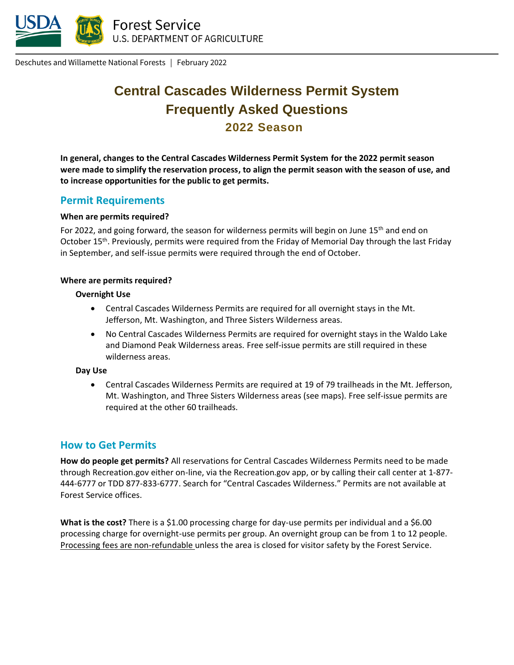

Deschutes and Willamette National Forests | February 2022

# **Central Cascades Wilderness Permit System Frequently Asked Questions 2022 Season**

**In general, changes to the Central Cascades Wilderness Permit System for the 2022 permit season were made to simplify the reservation process, to align the permit season with the season of use, and to increase opportunities for the public to get permits.** 

### **Permit Requirements**

#### **When are permits required?**

For 2022, and going forward, the season for wilderness permits will begin on June 15<sup>th</sup> and end on October 15th. Previously, permits were required from the Friday of Memorial Day through the last Friday in September, and self-issue permits were required through the end of October.

#### **Where are permits required?**

#### **Overnight Use**

- Central Cascades Wilderness Permits are required for all overnight stays in the Mt. Jefferson, Mt. Washington, and Three Sisters Wilderness areas.
- No Central Cascades Wilderness Permits are required for overnight stays in the Waldo Lake and Diamond Peak Wilderness areas. Free self-issue permits are still required in these wilderness areas.

#### **Day Use**

• Central Cascades Wilderness Permits are required at 19 of 79 trailheads in the Mt. Jefferson, Mt. Washington, and Three Sisters Wilderness areas (see maps). Free self-issue permits are required at the other 60 trailheads.

### **How to Get Permits**

**How do people get permits?** All reservations for Central Cascades Wilderness Permits need to be made through Recreation.gov either on-line, via the Recreation.gov app, or by calling their call center at 1-877- 444-6777 or TDD 877-833-6777. Search for "Central Cascades Wilderness." Permits are not available at Forest Service offices.

**What is the cost?** There is a \$1.00 processing charge for day-use permits per individual and a \$6.00 processing charge for overnight-use permits per group. An overnight group can be from 1 to 12 people. Processing fees are non-refundable unless the area is closed for visitor safety by the Forest Service.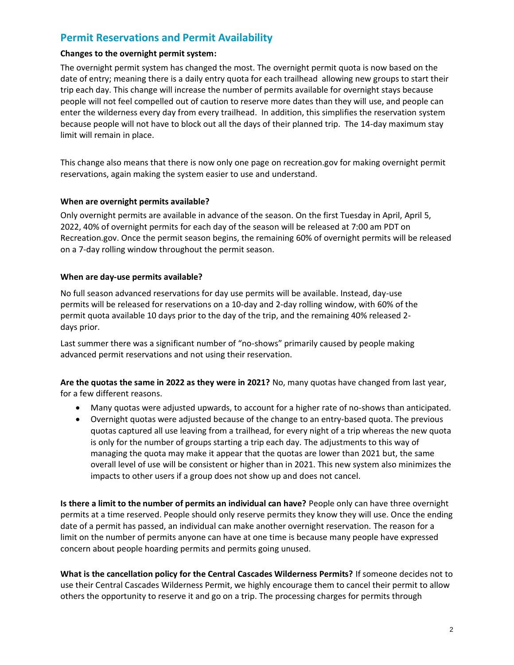# **Permit Reservations and Permit Availability**

#### **Changes to the overnight permit system:**

The overnight permit system has changed the most. The overnight permit quota is now based on the date of entry; meaning there is a daily entry quota for each trailhead allowing new groups to start their trip each day. This change will increase the number of permits available for overnight stays because people will not feel compelled out of caution to reserve more dates than they will use, and people can enter the wilderness every day from every trailhead. In addition, this simplifies the reservation system because people will not have to block out all the days of their planned trip. The 14-day maximum stay limit will remain in place.

This change also means that there is now only one page on recreation.gov for making overnight permit reservations, again making the system easier to use and understand.

#### **When are overnight permits available?**

Only overnight permits are available in advance of the season. On the first Tuesday in April, April 5, 2022, 40% of overnight permits for each day of the season will be released at 7:00 am PDT on Recreation.gov. Once the permit season begins, the remaining 60% of overnight permits will be released on a 7-day rolling window throughout the permit season.

#### **When are day-use permits available?**

No full season advanced reservations for day use permits will be available. Instead, day-use permits will be released for reservations on a 10-day and 2-day rolling window, with 60% of the permit quota available 10 days prior to the day of the trip, and the remaining 40% released 2 days prior.

Last summer there was a significant number of "no-shows" primarily caused by people making advanced permit reservations and not using their reservation.

**Are the quotas the same in 2022 as they were in 2021?** No, many quotas have changed from last year, for a few different reasons.

- Many quotas were adjusted upwards, to account for a higher rate of no-shows than anticipated.
- Overnight quotas were adjusted because of the change to an entry-based quota. The previous quotas captured all use leaving from a trailhead, for every night of a trip whereas the new quota is only for the number of groups starting a trip each day. The adjustments to this way of managing the quota may make it appear that the quotas are lower than 2021 but, the same overall level of use will be consistent or higher than in 2021. This new system also minimizes the impacts to other users if a group does not show up and does not cancel.

**Is there a limit to the number of permits an individual can have?** People only can have three overnight permits at a time reserved. People should only reserve permits they know they will use. Once the ending date of a permit has passed, an individual can make another overnight reservation. The reason for a limit on the number of permits anyone can have at one time is because many people have expressed concern about people hoarding permits and permits going unused.

**What is the cancellation policy for the Central Cascades Wilderness Permits?** If someone decides not to use their Central Cascades Wilderness Permit, we highly encourage them to cancel their permit to allow others the opportunity to reserve it and go on a trip. The processing charges for permits through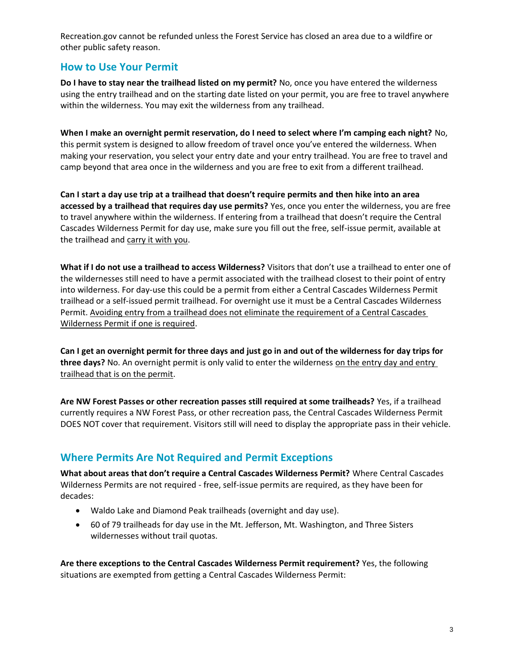Recreation.gov cannot be refunded unless the Forest Service has closed an area due to a wildfire or other public safety reason.

### **How to Use Your Permit**

**Do I have to stay near the trailhead listed on my permit?** No, once you have entered the wilderness using the entry trailhead and on the starting date listed on your permit, you are free to travel anywhere within the wilderness. You may exit the wilderness from any trailhead.

**When I make an overnight permit reservation, do I need to select where I'm camping each night?** No, this permit system is designed to allow freedom of travel once you've entered the wilderness. When making your reservation, you select your entry date and your entry trailhead. You are free to travel and camp beyond that area once in the wilderness and you are free to exit from a different trailhead.

**Can I start a day use trip at a trailhead that doesn't require permits and then hike into an area accessed by a trailhead that requires day use permits?** Yes, once you enter the wilderness, you are free to travel anywhere within the wilderness. If entering from a trailhead that doesn't require the Central Cascades Wilderness Permit for day use, make sure you fill out the free, self-issue permit, available at the trailhead and carry it with you.

**What if I do not use a trailhead to access Wilderness?** Visitors that don't use a trailhead to enter one of the wildernesses still need to have a permit associated with the trailhead closest to their point of entry into wilderness. For day-use this could be a permit from either a Central Cascades Wilderness Permit trailhead or a self-issued permit trailhead. For overnight use it must be a Central Cascades Wilderness Permit. Avoiding entry from a trailhead does not eliminate the requirement of a Central Cascades Wilderness Permit if one is required.

**Can I get an overnight permit for three days and just go in and out of the wilderness for day trips for three days?** No. An overnight permit is only valid to enter the wilderness on the entry day and entry trailhead that is on the permit.

**Are NW Forest Passes or other recreation passes still required at some trailheads?** Yes, if a trailhead currently requires a NW Forest Pass, or other recreation pass, the Central Cascades Wilderness Permit DOES NOT cover that requirement. Visitors still will need to display the appropriate pass in their vehicle.

# **Where Permits Are Not Required and Permit Exceptions**

**What about areas that don't require a Central Cascades Wilderness Permit?** Where Central Cascades Wilderness Permits are not required - free, self-issue permits are required, as they have been for decades:

- Waldo Lake and Diamond Peak trailheads (overnight and day use).
- 60 of 79 trailheads for day use in the Mt. Jefferson, Mt. Washington, and Three Sisters wildernesses without trail quotas.

**Are there exceptions to the Central Cascades Wilderness Permit requirement?** Yes, the following situations are exempted from getting a Central Cascades Wilderness Permit: